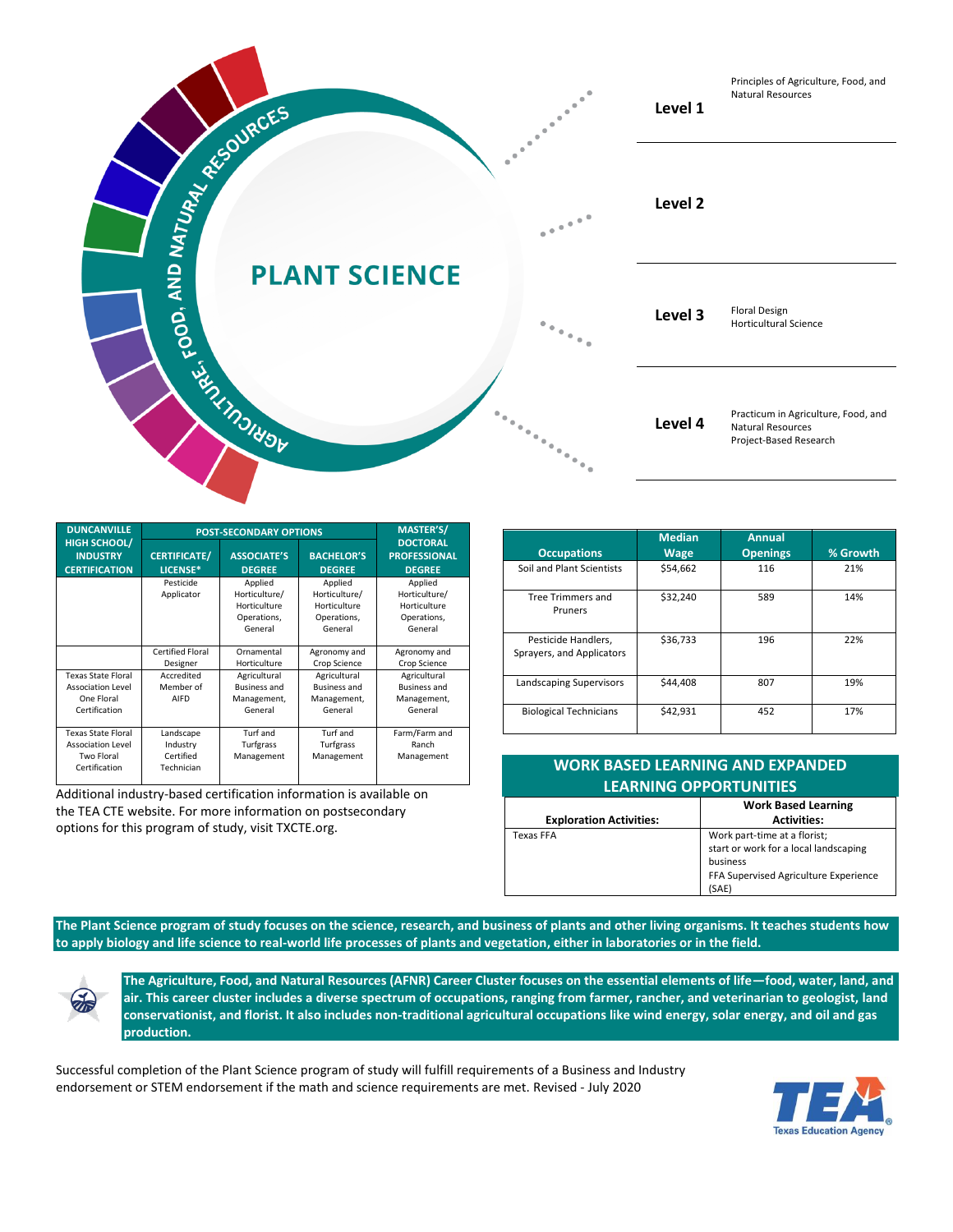

| <b>DUNCANVILLE</b>                                                                   | <b>POST-SECONDARY OPTIONS</b>                    |                                                                    |                                                                    | <b>MASTER'S/</b>                                                   |
|--------------------------------------------------------------------------------------|--------------------------------------------------|--------------------------------------------------------------------|--------------------------------------------------------------------|--------------------------------------------------------------------|
| <b>HIGH SCHOOL/</b><br><b>INDUSTRY</b><br><b>CERTIFICATION</b>                       | <b>CERTIFICATE/</b><br>LICENSE*                  | <b>ASSOCIATE'S</b><br><b>DEGREE</b>                                | <b>BACHELOR'S</b><br><b>DEGREE</b>                                 | <b>DOCTORAL</b><br><b>PROFESSIONAL</b><br><b>DEGREE</b>            |
|                                                                                      | Pesticide<br>Applicator                          | Applied<br>Horticulture/<br>Horticulture<br>Operations,<br>General | Applied<br>Horticulture/<br>Horticulture<br>Operations,<br>General | Applied<br>Horticulture/<br>Horticulture<br>Operations,<br>General |
|                                                                                      | <b>Certified Floral</b><br>Designer              | Ornamental<br>Horticulture                                         | Agronomy and<br>Crop Science                                       | Agronomy and<br>Crop Science                                       |
| <b>Texas State Floral</b><br><b>Association Level</b><br>One Floral<br>Certification | Accredited<br>Member of<br>AIFD                  | Agricultural<br><b>Business and</b><br>Management,<br>General      | Agricultural<br><b>Business and</b><br>Management,<br>General      | Agricultural<br><b>Business and</b><br>Management,<br>General      |
| <b>Texas State Floral</b><br><b>Association Level</b><br>Two Floral<br>Certification | Landscape<br>Industry<br>Certified<br>Technician | Turf and<br>Turfgrass<br>Management                                | Turf and<br>Turfgrass<br>Management                                | Farm/Farm and<br>Ranch<br>Management                               |

Additional industry-based certification information is available on the TEA CTE website. For more information on postsecondary options for this program of study, visit TXCTE.org.

| <b>Occupations</b>            | <b>Median</b><br><b>Wage</b> | <b>Annual</b><br><b>Openings</b> | % Growth |
|-------------------------------|------------------------------|----------------------------------|----------|
| Soil and Plant Scientists     | \$54,662                     | 116                              | 21%      |
|                               |                              |                                  |          |
| <b>Tree Trimmers and</b>      | \$32,240                     | 589                              | 14%      |
| Pruners                       |                              |                                  |          |
|                               |                              |                                  |          |
| Pesticide Handlers,           | \$36,733                     | 196                              | 22%      |
| Sprayers, and Applicators     |                              |                                  |          |
|                               |                              |                                  |          |
| Landscaping Supervisors       | \$44,408                     | 807                              | 19%      |
|                               |                              |                                  |          |
| <b>Biological Technicians</b> | \$42,931                     | 452                              | 17%      |
|                               |                              |                                  |          |

| <b>WORK BASED LEARNING AND EXPANDED</b><br><b>LEARNING OPPORTUNITIES</b> |                                                                                                                                     |  |  |  |
|--------------------------------------------------------------------------|-------------------------------------------------------------------------------------------------------------------------------------|--|--|--|
| <b>Exploration Activities:</b>                                           | <b>Work Based Learning</b><br><b>Activities:</b>                                                                                    |  |  |  |
| <b>Texas FFA</b>                                                         | Work part-time at a florist;<br>start or work for a local landscaping<br>business<br>FFA Supervised Agriculture Experience<br>(SAE) |  |  |  |

**The Plant Science program of study focuses on the science, research, and business of plants and other living organisms. It teaches students how to apply biology and life science to real-world life processes of plants and vegetation, either in laboratories or in the field.**

**The Agriculture, Food, and Natural Resources (AFNR) Career Cluster focuses on the essential elements of life—food, water, land, and air. This career cluster includes a diverse spectrum of occupations, ranging from farmer, rancher, and veterinarian to geologist, land conservationist, and florist. It also includes non-traditional agricultural occupations like wind energy, solar energy, and oil and gas production.**

Successful completion of the Plant Science program of study will fulfill requirements of a Business and Industry endorsement or STEM endorsement if the math and science requirements are met. Revised - July 2020